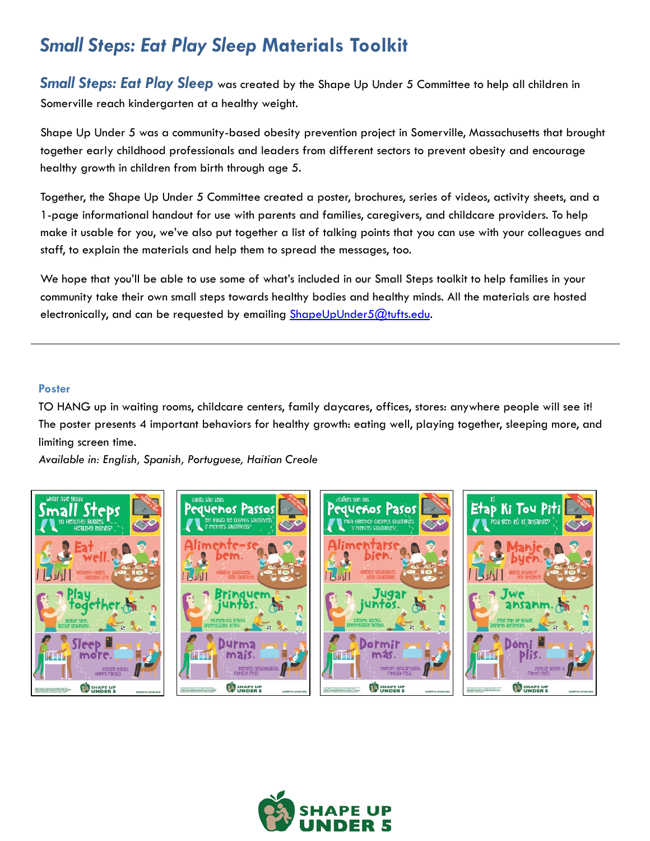# *Small Steps: Eat Play Sleep* **Materials Toolkit**

**Small Steps: Eat Play Sleep** was created by the Shape Up Under 5 Committee to help all children in Somerville reach kindergarten at a healthy weight.

Shape Up Under 5 was a community-based obesity prevention project in Somerville, Massachusetts that brought together early childhood professionals and leaders from different sectors to prevent obesity and encourage healthy growth in children from birth through age 5.

Together, the Shape Up Under 5 Committee created a poster, brochures, series of videos, activity sheets, and a 1-page informational handout for use with parents and families, caregivers, and childcare providers. To help make it usable for you, we've also put together a list of talking points that you can use with your colleagues and staff, to explain the materials and help them to spread the messages, too.

We hope that you'll be able to use some of what's included in our Small Steps toolkit to help families in your community take their own small steps towards healthy bodies and healthy minds. All the materials are hosted electronically, and can be requested by emailing [ShapeUpUnder5@tufts.edu](mailto:ShapeUpUnder5@tufts.edu).

# **Poster**

TO HANG up in waiting rooms, childcare centers, family daycares, offices, stores: anywhere people will see it! The poster presents 4 important behaviors for healthy growth: eating well, playing together, sleeping more, and limiting screen time.

*Available in: English, Spanish, Portuguese, Haitian Creole*



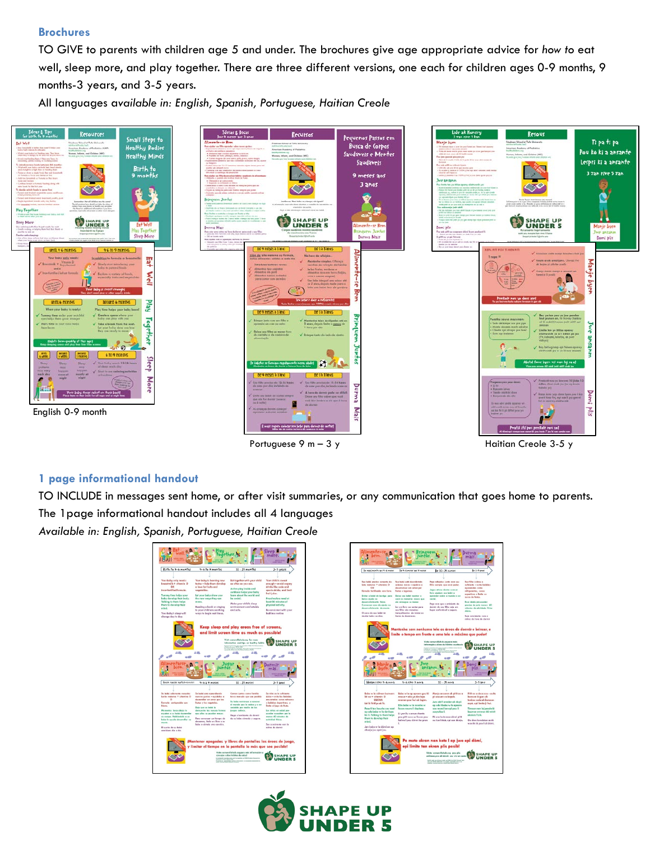## **Brochures**

TO GIVE to parents with children age 5 and under. The brochures give age appropriate advice for *how to* eat well, sleep more, and play together. There are three different versions, one each for children ages 0-9 months, 9 months-3 years, and 3-5 years.

All languages a*vailable in: English, Spanish, Portuguese, Haitian Creole*



### **1 page informational handout**

TO INCLUDE in messages sent home, or after visit summaries, or any communication that goes home to parents. The 1page informational handout includes all 4 languages

*Available in: English, Spanish, Portuguese, Haitian Creole*



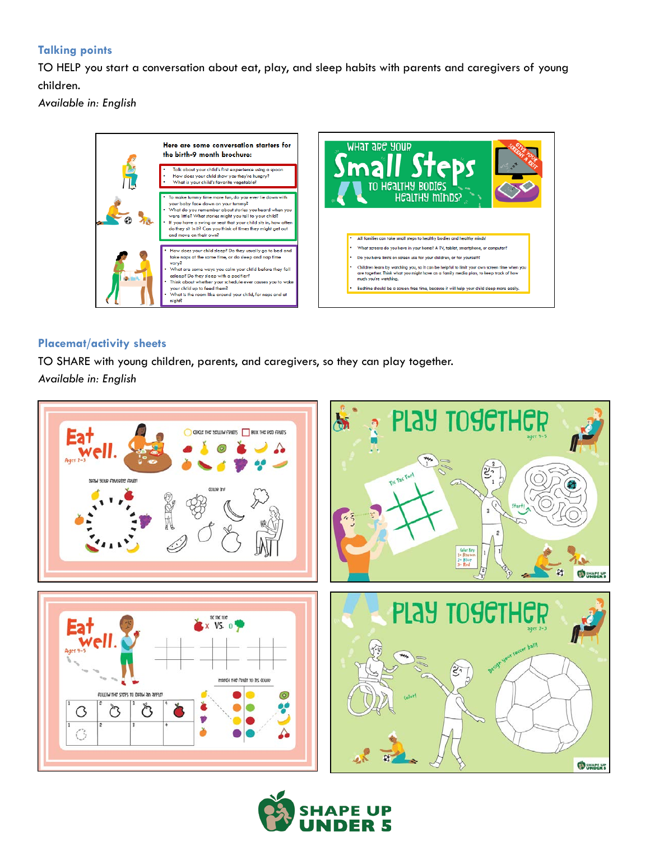# **Talking points**

TO HELP you start a conversation about eat, play, and sleep habits with parents and caregivers of young children.

*Available in: English*



## **Placemat/activity sheets**

TO SHARE with young children, parents, and caregivers, so they can play together. *Available in: English*